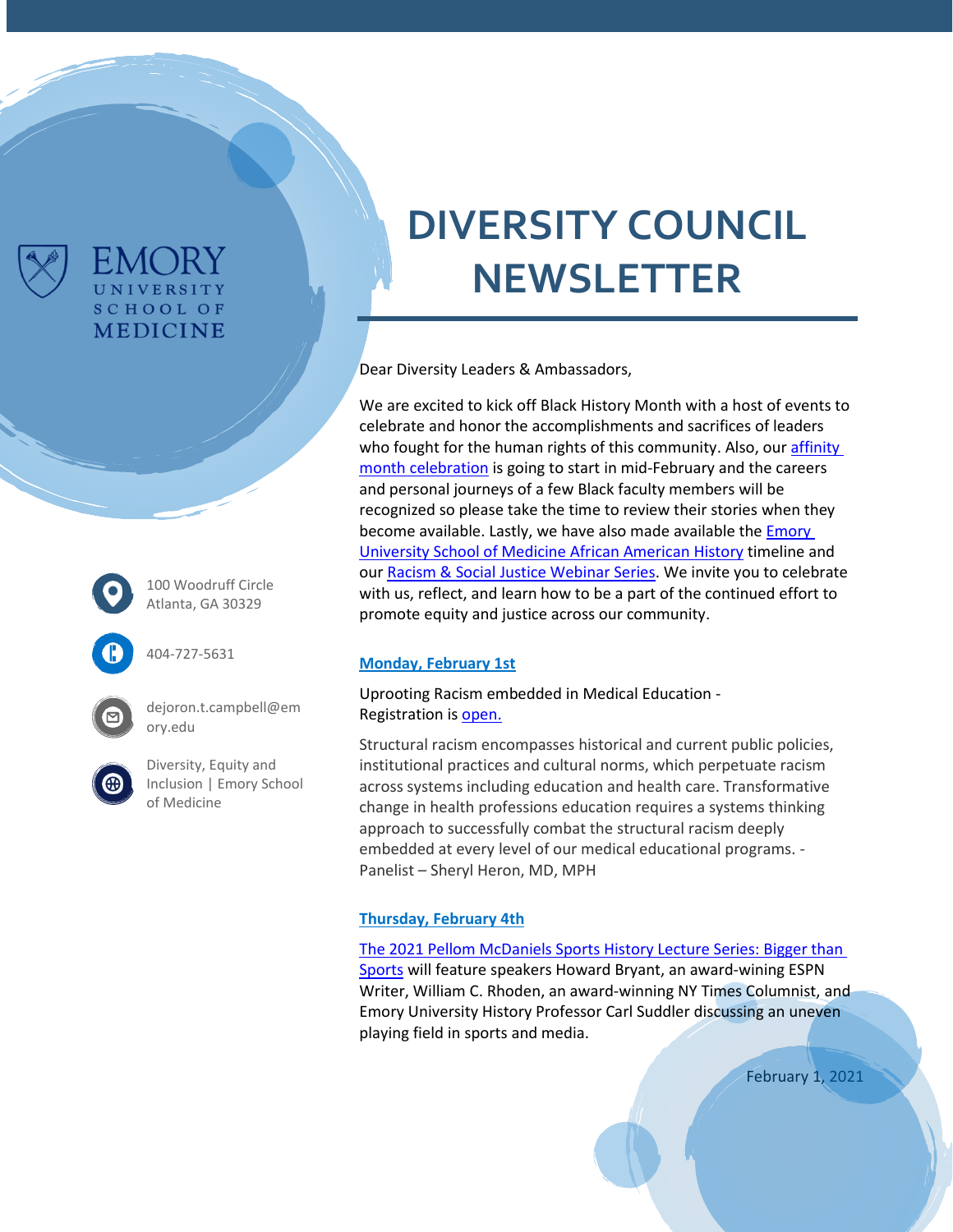

100 Woodruff Circle Atlanta, GA 30329

FMC JRY UNIVERSITY **SCHOOL OF MEDICINE** 



404-727-5631

dejoron.t.campbell@em ory.edu

[Diversity, Equity and](https://www.med.emory.edu/about/diversity/index.html)  [Inclusion | Emory School](https://www.med.emory.edu/about/diversity/index.html)  [of Medicine](https://www.med.emory.edu/about/diversity/index.html)

# **DIVERSITY COUNCIL NEWSLETTER**

Dear Diversity Leaders & Ambassadors,

We are excited to kick off Black History Month with a host of events to celebrate and honor the accomplishments and sacrifices of leaders who fought for the human rights of this community. Also, our affinity [month celebration](https://www.med.emory.edu/about/diversity/affinity_months.html) is going to start in mid-February and the careers and personal journeys of a few Black faculty members will be recognized so please take the time to review their stories when they become available. Lastly, we have also made available the **Emory** [University School of Medicine African American History](https://prezi.com/view/2yfRTVPqGhfWynYtLrZF/) timeline and our [Racism & Social Justice Webinar Series.](https://www.med.emory.edu/about/diversity/webinar-video-archive.html) We invite you to celebrate with us, reflect, and learn how to be a part of the continued effort to promote equity and justice across our community.

### **Monday, February 1st**

Uprooting Racism embedded in Medical Education - Registration i[s open.](https://zoom.us/webinar/register/WN_UqBJNyFDSmip_xk77ZzrcQ?utm_source=SFMC&utm_medium=email&utm_term=1112021&utm_content=21-10004+ChangeMedEd+Monthly+Digest+January+2021&utm_campaign=&utm_uid=&utm_effort=&utm_source=SFMC&utm_medium=email&utm_term=1252021&utm_content=21-10006+ACE+February+Webinar&utm_campaign=MedEd_Email_FebruaryWebinar_ACEList_012521&utm_uid=&utm_effort=)

Structural racism encompasses historical and current public policies, institutional practices and cultural norms, which perpetuate racism across systems including education and health care. Transformative change in health professions education requires a systems thinking approach to successfully combat the structural racism deeply embedded at every level of our medical educational programs. - Panelist – Sheryl Heron, MD, MPH

### **Thursday, February 4th**

The [2021 Pellom McDaniels Sports History Lecture Series: Bigger than](https://emory.zoom.us/webinar/register/WN_p8JBjuIGQsWrhZuakDNq5A)  [Sports](https://emory.zoom.us/webinar/register/WN_p8JBjuIGQsWrhZuakDNq5A) will feature speakers Howard Bryant, an award-wining ESPN Writer, William C. Rhoden, an award-winning NY Times Columnist, and Emory University History Professor Carl Suddler discussing an uneven playing field in sports and media.

February 1, 2021